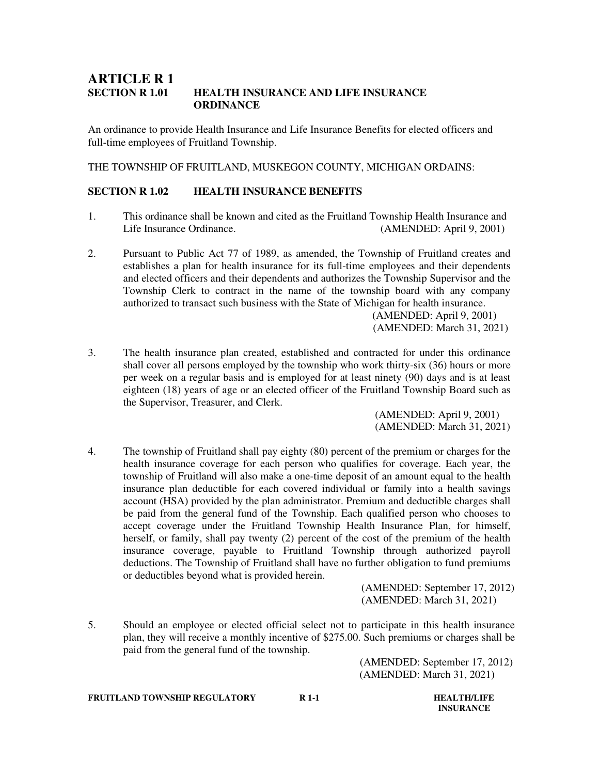## **ARTICLE R 1 SECTION R 1.01 HEALTH INSURANCE AND LIFE INSURANCE ORDINANCE**

An ordinance to provide Health Insurance and Life Insurance Benefits for elected officers and full-time employees of Fruitland Township.

THE TOWNSHIP OF FRUITLAND, MUSKEGON COUNTY, MICHIGAN ORDAINS:

## **SECTION R 1.02 HEALTH INSURANCE BENEFITS**

- 1. This ordinance shall be known and cited as the Fruitland Township Health Insurance and Life Insurance Ordinance. (AMENDED: April 9, 2001)
- 2. Pursuant to Public Act 77 of 1989, as amended, the Township of Fruitland creates and establishes a plan for health insurance for its full-time employees and their dependents and elected officers and their dependents and authorizes the Township Supervisor and the Township Clerk to contract in the name of the township board with any company authorized to transact such business with the State of Michigan for health insurance.

 (AMENDED: April 9, 2001) (AMENDED: March 31, 2021)

3. The health insurance plan created, established and contracted for under this ordinance shall cover all persons employed by the township who work thirty-six (36) hours or more per week on a regular basis and is employed for at least ninety (90) days and is at least eighteen (18) years of age or an elected officer of the Fruitland Township Board such as the Supervisor, Treasurer, and Clerk.

> (AMENDED: April 9, 2001) (AMENDED: March 31, 2021)

4. The township of Fruitland shall pay eighty (80) percent of the premium or charges for the health insurance coverage for each person who qualifies for coverage. Each year, the township of Fruitland will also make a one-time deposit of an amount equal to the health insurance plan deductible for each covered individual or family into a health savings account (HSA) provided by the plan administrator. Premium and deductible charges shall be paid from the general fund of the Township. Each qualified person who chooses to accept coverage under the Fruitland Township Health Insurance Plan, for himself, herself, or family, shall pay twenty (2) percent of the cost of the premium of the health insurance coverage, payable to Fruitland Township through authorized payroll deductions. The Township of Fruitland shall have no further obligation to fund premiums or deductibles beyond what is provided herein.

 (AMENDED: September 17, 2012) (AMENDED: March 31, 2021)

5. Should an employee or elected official select not to participate in this health insurance plan, they will receive a monthly incentive of \$275.00. Such premiums or charges shall be paid from the general fund of the township.

> (AMENDED: September 17, 2012) (AMENDED: March 31, 2021)

**FRUITLAND TOWNSHIP REGULATORY R 1-1 R 1-1 HEALTH/LIFE** 

 **INSURANCE**